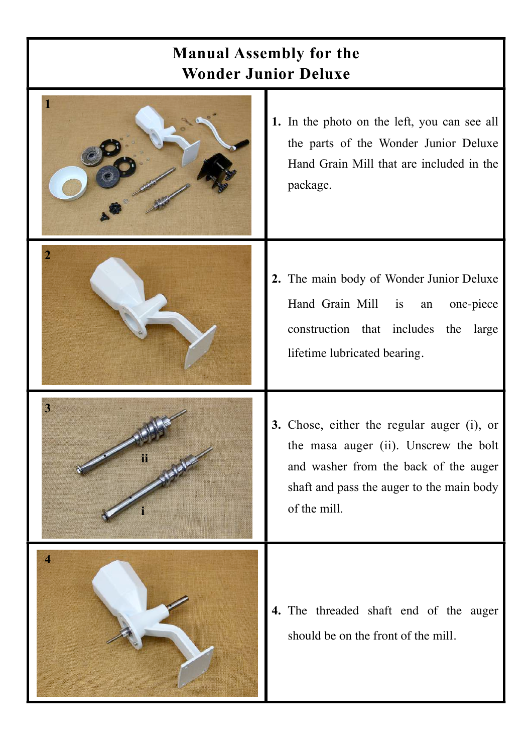## **Manual Assembly for the Wonder Junior Deluxe**

|                         | 1. In the photo on the left, you can see all<br>the parts of the Wonder Junior Deluxe<br>Hand Grain Mill that are included in the<br>package.                                             |
|-------------------------|-------------------------------------------------------------------------------------------------------------------------------------------------------------------------------------------|
|                         | 2. The main body of Wonder Junior Deluxe<br>Hand Grain Mill is<br>one-piece<br>an<br>construction that includes the<br>large<br>lifetime lubricated bearing.                              |
| $\overline{\mathbf{3}}$ | 3. Chose, either the regular auger (i), or<br>the masa auger (ii). Unscrew the bolt<br>and washer from the back of the auger<br>shaft and pass the auger to the main body<br>of the mill. |
| $\overline{\mathbf{4}}$ | 4. The threaded shaft end of the auger<br>should be on the front of the mill.                                                                                                             |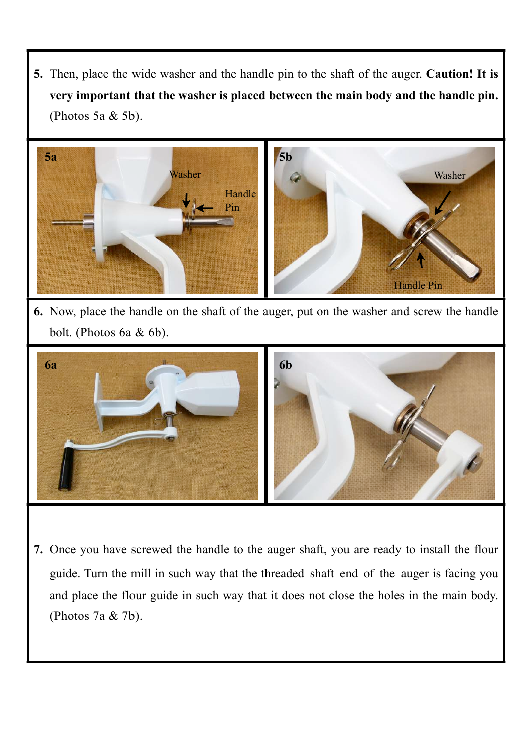**5.** Then, place the wide washer and the handle pin to the shaft of the auger. **Caution! It is very important that the washer is placed between the main body and the handle pin.** (Photos 5a & 5b).



**6.** Now, place the handle on the shaft of the auger, put on the washer and screw the handle bolt. (Photos 6a & 6b).



**7.** Once you have screwed the handle to the auger shaft, you are ready to install the flour guide. Turn the mill in such way that the threaded shaft end of the auger is facing you and place the flour guide in such way that it does not close the holes in the main body. (Photos 7a & 7b).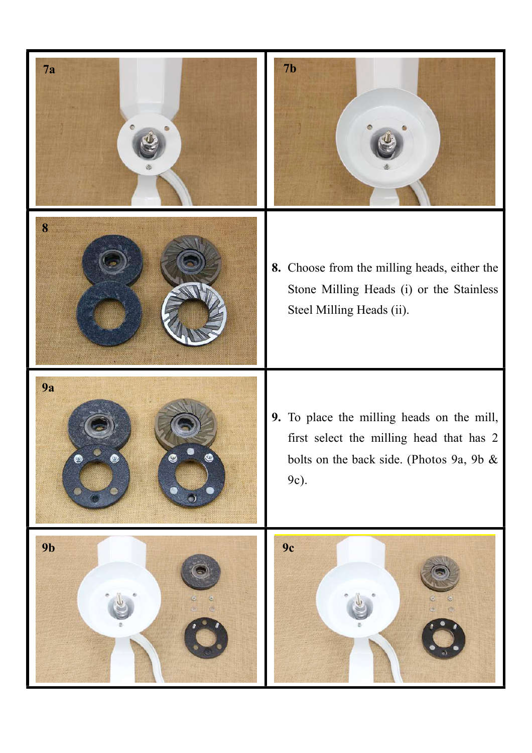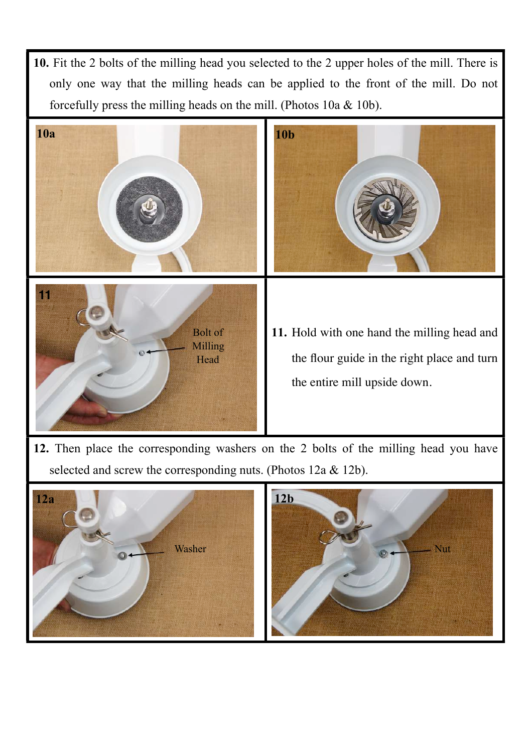**10.** Fit the 2 bolts of the milling head you selected to the 2 upper holes of the mill. There is only one way that the milling heads can be applied to the front of the mill. Do not forcefully press the milling heads on the mill. (Photos 10a & 10b).



**12.** Then place the corresponding washers on the 2 bolts of the milling head you have selected and screw the corresponding nuts. (Photos 12a & 12b).



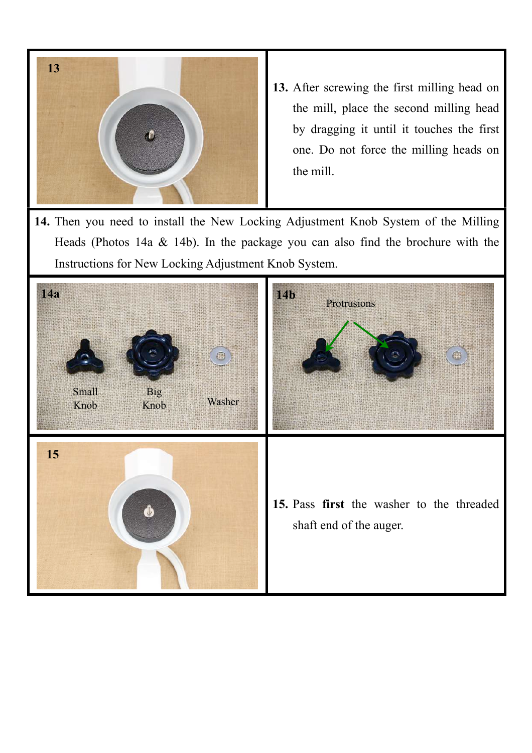

- **13.** After screwing the first milling head on the mill, place the second milling head by dragging it until it touches the first one. Do not force the milling heads on the mill.
- **14.** Then you need to install the New Locking Adjustment Knob System of the Milling Heads (Photos 14a  $\&$  14b). In the package you can also find the brochure with the Instructions for New Locking Adjustment Knob System.

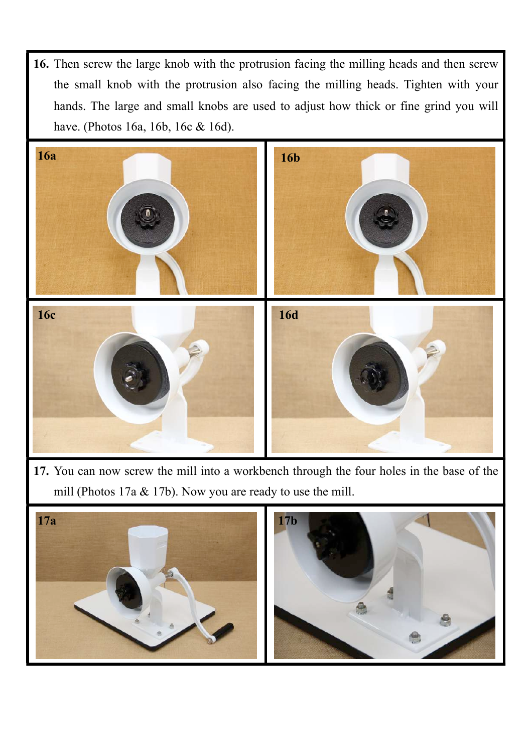**16.** Then screw the large knob with the protrusion facing the milling heads and then screw the small knob with the protrusion also facing the milling heads. Tighten with your hands. The large and small knobs are used to adjust how thick or fine grind you will have. (Photos 16a, 16b, 16c & 16d).



**17.** You can now screw the mill into a workbench through the four holes in the base of the mill (Photos 17a & 17b). Now you are ready to use the mill.

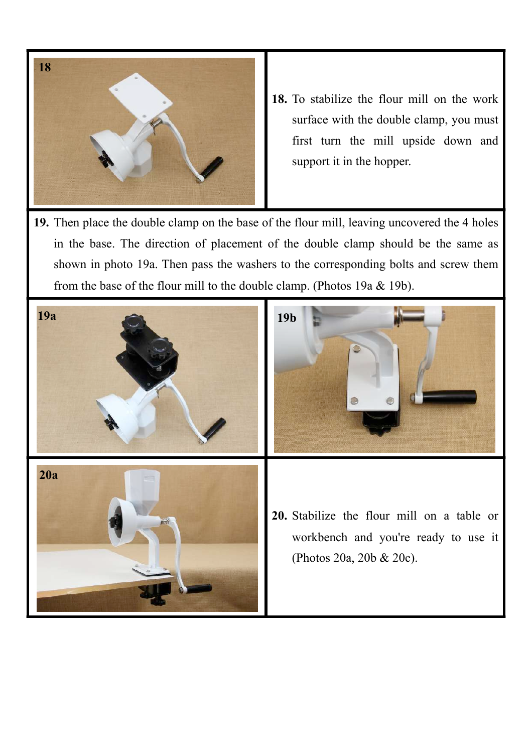

- **18.** To stabilize the flour mill on the work surface with the double clamp, you must first turn the mill upside down and support it in the hopper.
- **19.** Then place the double clamp on the base of the flour mill, leaving uncovered the 4 holes in the base. The direction of placement of the double clamp should be the same as shown in photo 19a. Then pass the washers to the corresponding bolts and screw them from the base of the flour mill to the double clamp. (Photos 19a & 19b).